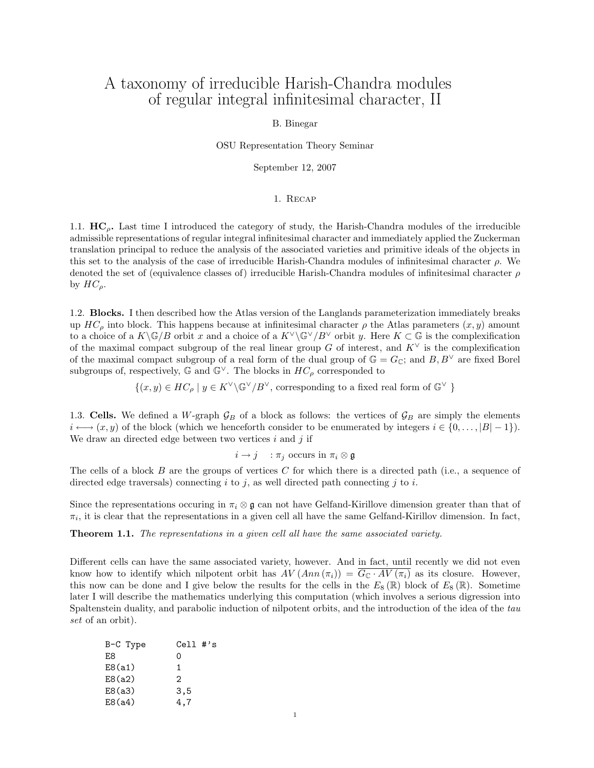# A taxonomy of irreducible Harish-Chandra modules of regular integral infinitesimal character, II

# B. Binegar

OSU Representation Theory Seminar

September 12, 2007

#### 1. Recap

1.1.  $HC<sub>0</sub>$ . Last time I introduced the category of study, the Harish-Chandra modules of the irreducible admissible representations of regular integral infinitesimal character and immediately applied the Zuckerman translation principal to reduce the analysis of the associated varieties and primitive ideals of the objects in this set to the analysis of the case of irreducible Harish-Chandra modules of infinitesimal character  $\rho$ . We denoted the set of (equivalence classes of) irreducible Harish-Chandra modules of infinitesimal character  $\rho$ by  $HC_{\rho}$ .

1.2. Blocks. I then described how the Atlas version of the Langlands parameterization immediately breaks up  $HC_\rho$  into block. This happens because at infinitesimal character  $\rho$  the Atlas parameters  $(x, y)$  amount to a choice of a  $K\backslash\mathbb{G}/B$  orbit x and a choice of a  $K\backslash\mathbb{G}^{\vee}/B^{\vee}$  orbit y. Here  $K\subset\mathbb{G}$  is the complexification of the maximal compact subgroup of the real linear group G of interest, and  $K^{\vee}$  is the complexification of the maximal compact subgroup of a real form of the dual group of  $\mathbb{G} = G_{\mathbb{C}}$ ; and  $B, B^{\vee}$  are fixed Borel subgroups of, respectively,  $\mathbb{G}$  and  $\mathbb{G}^{\vee}$ . The blocks in  $HC_{\rho}$  corresponded to

 $\{(x, y) \in HC_\rho \mid y \in K^{\vee} \backslash \mathbb{G}^{\vee}/B^{\vee}$ , corresponding to a fixed real form of  $\mathbb{G}^{\vee}$  }

1.3. Cells. We defined a W-graph  $\mathcal{G}_B$  of a block as follows: the vertices of  $\mathcal{G}_B$  are simply the elements  $i \longleftrightarrow (x, y)$  of the block (which we henceforth consider to be enumerated by integers  $i \in \{0, \dots, |B|-1\}$ ). We draw an directed edge between two vertices  $i$  and  $j$  if

$$
i \to j \quad : \pi_j \text{ occurs in } \pi_i \otimes \mathfrak{g}
$$

The cells of a block B are the groups of vertices C for which there is a directed path (i.e., a sequence of directed edge traversals) connecting  $i$  to  $j$ , as well directed path connecting  $j$  to  $i$ .

Since the representations occuring in  $\pi_i \otimes \mathfrak{g}$  can not have Gelfand-Kirillove dimension greater than that of  $\pi_i$ , it is clear that the representations in a given cell all have the same Gelfand-Kirillov dimension. In fact,

**Theorem 1.1.** The representations in a given cell all have the same associated variety.

Different cells can have the same associated variety, however. And in fact, until recently we did not even know how to identify which nilpotent orbit has  $AV(Ann(\pi_i)) = G_{\mathbb{C}} \cdot AV(\pi_i)$  as its closure. However, this now can be done and I give below the results for the cells in the  $E_8(\mathbb{R})$  block of  $E_8(\mathbb{R})$ . Sometime later I will describe the mathematics underlying this computation (which involves a serious digression into Spaltenstein duality, and parabolic induction of nilpotent orbits, and the introduction of the idea of the tau set of an orbit).

| B-C Type | $Cell$ #'s |
|----------|------------|
| F.8      | Ω          |
| E8(a1)   | 1.         |
| E8(a2)   | 2          |
| E8(a3)   | 3.5        |
| E8(a4)   | 4.7        |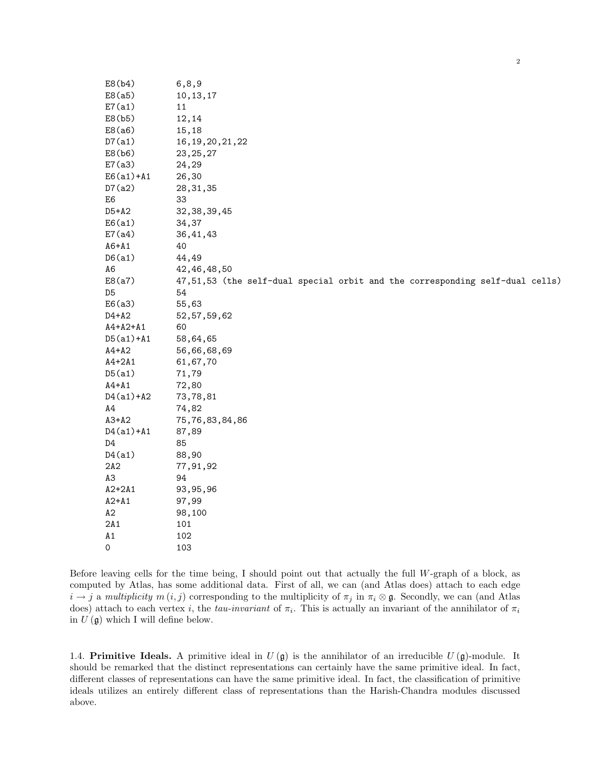E8(b4) 6,8,9 E8(a5) 10,13,17 E7(a1) 11 E8(b5) 12,14 E8(a6) 15,18 D7(a1) 16,19,20,21,22 E8(b6) 23,25,27 E7(a3) 24,29 E6(a1)+A1 26,30 D7(a2) 28,31,35 E6 33 D5+A2 32,38,39,45 E6(a1) 34,37 E7(a4) 36,41,43 A6+A1 40 D6(a1) 44,49 A6 42,46,48,50 E8(a7) 47,51,53 (the self-dual special orbit and the corresponding self-dual cells) D5 54 E6(a3) 55,63 D4+A2 52,57,59,62 A4+A2+A1 60 D5(a1)+A1 58,64,65 A4+A2 56,66,68,69 A4+2A1 61,67,70 D5(a1) 71,79 A4+A1 72,80 D4(a1)+A2 73,78,81 A4 74,82 A3+A2 75,76,83,84,86 D4(a1)+A1 87,89 D4 85 D4(a1) 88,90 2A2 77,91,92 A3 94 A2+2A1 93,95,96 A2+A1 97,99 A2 98,100 2A1 101 A1 102 0 103

2

Before leaving cells for the time being, I should point out that actually the full W-graph of a block, as computed by Atlas, has some additional data. First of all, we can (and Atlas does) attach to each edge  $i \to j$  a multiplicity  $m(i, j)$  corresponding to the multiplicity of  $\pi_j$  in  $\pi_i \otimes \mathfrak{g}$ . Secondly, we can (and Atlas does) attach to each vertex i, the tau-invariant of  $\pi_i$ . This is actually an invariant of the annihilator of  $\pi_i$ in  $U(\mathfrak{g})$  which I will define below.

1.4. **Primitive Ideals.** A primitive ideal in  $U(\mathfrak{g})$  is the annihilator of an irreducible  $U(\mathfrak{g})$ -module. It should be remarked that the distinct representations can certainly have the same primitive ideal. In fact, different classes of representations can have the same primitive ideal. In fact, the classification of primitive ideals utilizes an entirely different class of representations than the Harish-Chandra modules discussed above.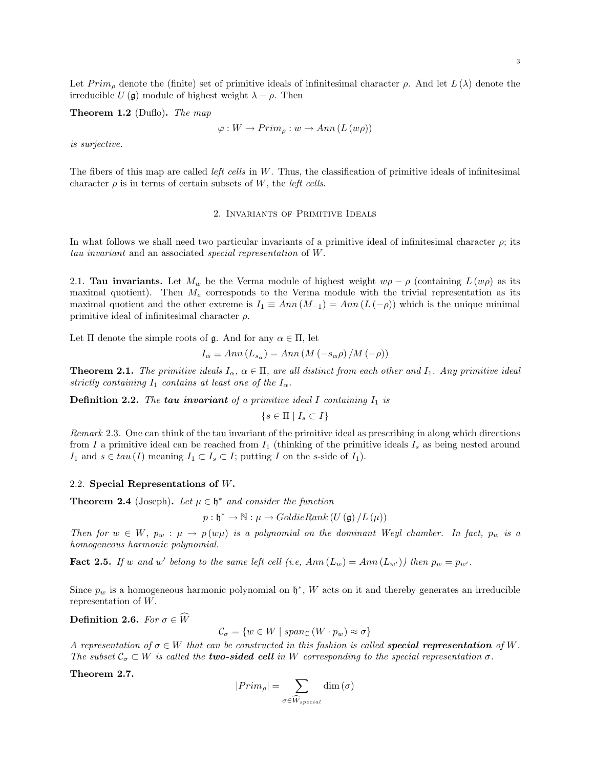Let  $Prim_{\rho}$  denote the (finite) set of primitive ideals of infinitesimal character  $\rho$ . And let  $L(\lambda)$  denote the irreducible  $U(\mathfrak{g})$  module of highest weight  $\lambda - \rho$ . Then

Theorem 1.2 (Duflo). The map

$$
\varphi: W \to Prim_{\rho}: w \to Ann(L(w\rho))
$$

is surjective.

The fibers of this map are called *left cells* in  $W$ . Thus, the classification of primitive ideals of infinitesimal character  $\rho$  is in terms of certain subsets of W, the *left cells*.

## 2. Invariants of Primitive Ideals

In what follows we shall need two particular invariants of a primitive ideal of infinitesimal character  $\rho$ ; its tau invariant and an associated special representation of W.

2.1. **Tau invariants.** Let  $M_w$  be the Verma module of highest weight  $w\rho - \rho$  (containing  $L(w\rho)$  as its maximal quotient). Then  $M_e$  corresponds to the Verma module with the trivial representation as its maximal quotient and the other extreme is  $I_1 \equiv Ann(M_{-1}) = Ann(L(-\rho))$  which is the unique minimal primitive ideal of infinitesimal character  $\rho$ .

Let  $\Pi$  denote the simple roots of  $\mathfrak{g}$ . And for any  $\alpha \in \Pi$ , let

$$
I_{\alpha} \equiv Ann(L_{s_{\alpha}}) = Ann(M(-s_{\alpha}\rho)/M(-\rho))
$$

**Theorem 2.1.** The primitive ideals  $I_{\alpha}$ ,  $\alpha \in \Pi$ , are all distinct from each other and  $I_1$ . Any primitive ideal strictly containing  $I_1$  contains at least one of the  $I_{\alpha}$ .

**Definition 2.2.** The **tau invariant** of a primitive ideal I containing  $I_1$  is

$$
\{s \in \Pi \mid I_s \subset I\}
$$

Remark 2.3. One can think of the tau invariant of the primitive ideal as prescribing in along which directions from I a primitive ideal can be reached from  $I_1$  (thinking of the primitive ideals  $I_s$  as being nested around I<sub>1</sub> and  $s \in tau (I)$  meaning  $I_1 \subset I_s \subset I$ ; putting I on the s-side of  $I_1$ ).

#### 2.2. Special Representations of W.

**Theorem 2.4** (Joseph). Let  $\mu \in \mathfrak{h}^*$  and consider the function

 $p: \mathfrak{h}^* \to \mathbb{N}: \mu \to GoldieRank(U(\mathfrak{g})/L(\mu))$ 

Then for  $w \in W$ ,  $p_w : \mu \to p(w\mu)$  is a polynomial on the dominant Weyl chamber. In fact,  $p_w$  is a homogeneous harmonic polynomial.

**Fact 2.5.** If w and w' belong to the same left cell (i.e,  $Ann(L_w) = Ann(L_{w'}))$  then  $p_w = p_{w'}$ .

Since  $p_w$  is a homogeneous harmonic polynomial on  $\mathfrak{h}^*$ , W acts on it and thereby generates an irreducible representation of W.

Definition 2.6. For  $\sigma \in \widehat{W}$ 

$$
\mathcal{C}_{\sigma} = \{ w \in W \mid span_{\mathbb{C}} (W \cdot p_w) \approx \sigma \}
$$

A representation of  $\sigma \in W$  that can be constructed in this fashion is called **special representation** of W. The subset  $\mathcal{C}_{\sigma} \subset W$  is called the **two-sided cell** in W corresponding to the special representation  $\sigma$ .

Theorem 2.7.

$$
|Prim_{\rho}| = \sum_{\sigma \in \widehat{W}_{special}} \dim(\sigma)
$$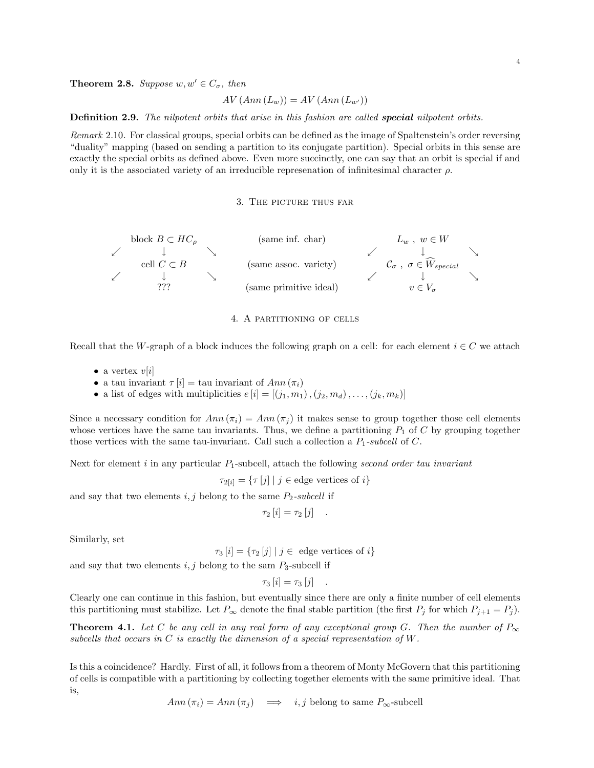$$
AV(Ann(Lw)) = AV(Ann(Lw'))
$$

Definition 2.9. The nilpotent orbits that arise in this fashion are called special nilpotent orbits.

Remark 2.10. For classical groups, special orbits can be defined as the image of Spaltenstein's order reversing "duality" mapping (based on sending a partition to its conjugate partition). Special orbits in this sense are exactly the special orbits as defined above. Even more succinctly, one can say that an orbit is special if and only it is the associated variety of an irreducible represenation of infinitesimal character  $\rho$ .

## 3. The picture thus far



4. A partitioning of cells

Recall that the W-graph of a block induces the following graph on a cell: for each element  $i \in C$  we attach

- a vertex  $v[i]$
- a tau invariant  $\tau[i] = \text{tau invariant of } Ann(\pi_i)$
- a list of edges with multiplicities  $e[i] = [(j_1, m_1), (j_2, m_d), \dots, (j_k, m_k)]$

Since a necessary condition for  $Ann(\pi_i) = Ann(\pi_j)$  it makes sense to group together those cell elements whose vertices have the same tau invariants. Thus, we define a partitioning  $P_1$  of C by grouping together those vertices with the same tau-invariant. Call such a collection a  $P_1$ -subcell of C.

Next for element  $i$  in any particular  $P_1$ -subcell, attach the following second order tau invariant

 $\tau_{2[i]} = {\tau[j] | j \in \text{edge vertices of } i}$ 

and say that two elements  $i, j$  belong to the same  $P_2$ -subcell if

$$
\tau_2[i] = \tau_2[j] .
$$

Similarly, set

 $\tau_3[i] = {\tau_2[i] | j \in \text{edge vertices of } i}$ 

and say that two elements  $i, j$  belong to the sam  $P_3$ -subcell if

 $\tau_3[i] = \tau_3[j]$  .

Clearly one can continue in this fashion, but eventually since there are only a finite number of cell elements this partitioning must stabilize. Let  $P_{\infty}$  denote the final stable partition (the first  $P_j$  for which  $P_{j+1} = P_j$ ).

**Theorem 4.1.** Let C be any cell in any real form of any exceptional group G. Then the number of  $P_{\infty}$ subcells that occurs in  $C$  is exactly the dimension of a special representation of  $W$ .

Is this a coincidence? Hardly. First of all, it follows from a theorem of Monty McGovern that this partitioning of cells is compatible with a partitioning by collecting together elements with the same primitive ideal. That is,

Ann  $(\pi_i) = Ann(\pi_j) \implies i, j$  belong to same  $P_{\infty}$ -subcell